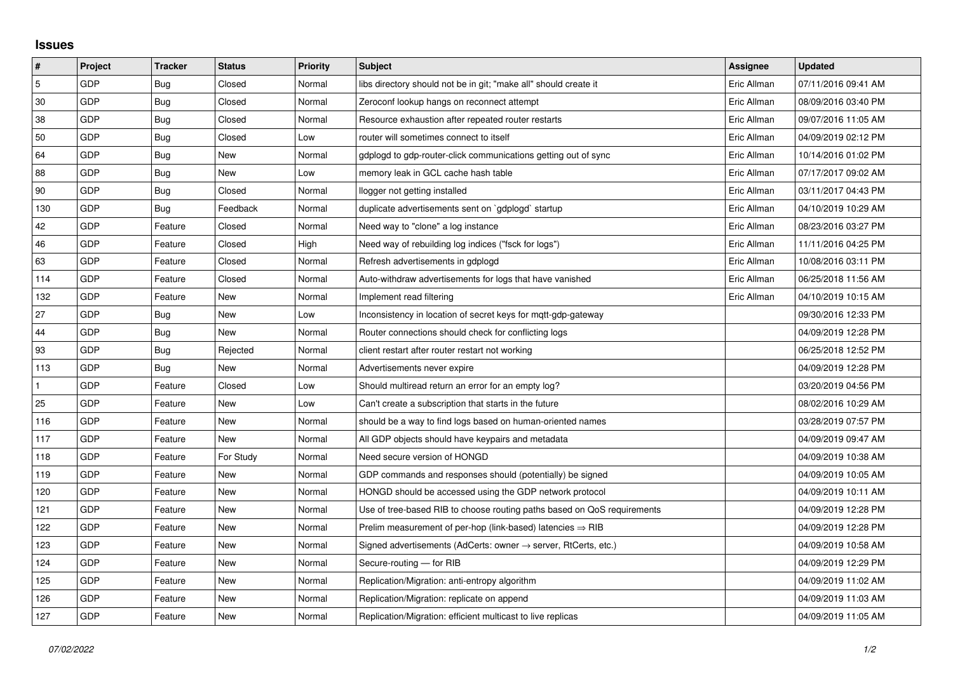## **Issues**

| #   | Project    | <b>Tracker</b> | <b>Status</b> | <b>Priority</b> | <b>Subject</b>                                                             | <b>Assignee</b> | <b>Updated</b>      |
|-----|------------|----------------|---------------|-----------------|----------------------------------------------------------------------------|-----------------|---------------------|
| 5   | GDP        | Bug            | Closed        | Normal          | libs directory should not be in git; "make all" should create it           | Eric Allman     | 07/11/2016 09:41 AM |
| 30  | GDP        | <b>Bug</b>     | Closed        | Normal          | Zeroconf lookup hangs on reconnect attempt                                 | Eric Allman     | 08/09/2016 03:40 PM |
| 38  | GDP        | Bug            | Closed        | Normal          | Resource exhaustion after repeated router restarts                         | Eric Allman     | 09/07/2016 11:05 AM |
| 50  | GDP        | <b>Bug</b>     | Closed        | Low             | router will sometimes connect to itself                                    | Eric Allman     | 04/09/2019 02:12 PM |
| 64  | GDP        | Bug            | New           | Normal          | gdplogd to gdp-router-click communications getting out of sync             | Eric Allman     | 10/14/2016 01:02 PM |
| 88  | GDP        | Bug            | <b>New</b>    | Low             | memory leak in GCL cache hash table                                        | Eric Allman     | 07/17/2017 09:02 AM |
| 90  | GDP        | Bug            | Closed        | Normal          | llogger not getting installed                                              | Eric Allman     | 03/11/2017 04:43 PM |
| 130 | GDP        | Bug            | Feedback      | Normal          | duplicate advertisements sent on `gdplogd` startup                         | Eric Allman     | 04/10/2019 10:29 AM |
| 42  | GDP        | Feature        | Closed        | Normal          | Need way to "clone" a log instance                                         | Eric Allman     | 08/23/2016 03:27 PM |
| 46  | GDP        | Feature        | Closed        | High            | Need way of rebuilding log indices ("fsck for logs")                       | Eric Allman     | 11/11/2016 04:25 PM |
| 63  | GDP        | Feature        | Closed        | Normal          | Refresh advertisements in gdplogd                                          | Eric Allman     | 10/08/2016 03:11 PM |
| 114 | GDP        | Feature        | Closed        | Normal          | Auto-withdraw advertisements for logs that have vanished                   | Eric Allman     | 06/25/2018 11:56 AM |
| 132 | GDP        | Feature        | <b>New</b>    | Normal          | Implement read filtering                                                   | Eric Allman     | 04/10/2019 10:15 AM |
| 27  | GDP        | Bug            | New           | Low             | Inconsistency in location of secret keys for mqtt-gdp-gateway              |                 | 09/30/2016 12:33 PM |
| 44  | <b>GDP</b> | Bug            | <b>New</b>    | Normal          | Router connections should check for conflicting logs                       |                 | 04/09/2019 12:28 PM |
| 93  | GDP        | Bug            | Rejected      | Normal          | client restart after router restart not working                            |                 | 06/25/2018 12:52 PM |
| 113 | GDP        | <b>Bug</b>     | New           | Normal          | Advertisements never expire                                                |                 | 04/09/2019 12:28 PM |
|     | GDP        | Feature        | Closed        | Low             | Should multiread return an error for an empty log?                         |                 | 03/20/2019 04:56 PM |
| 25  | GDP        | Feature        | New           | Low             | Can't create a subscription that starts in the future                      |                 | 08/02/2016 10:29 AM |
| 116 | GDP        | Feature        | New           | Normal          | should be a way to find logs based on human-oriented names                 |                 | 03/28/2019 07:57 PM |
| 117 | GDP        | Feature        | New           | Normal          | All GDP objects should have keypairs and metadata                          |                 | 04/09/2019 09:47 AM |
| 118 | GDP        | Feature        | For Study     | Normal          | Need secure version of HONGD                                               |                 | 04/09/2019 10:38 AM |
| 119 | GDP        | Feature        | New           | Normal          | GDP commands and responses should (potentially) be signed                  |                 | 04/09/2019 10:05 AM |
| 120 | GDP        | Feature        | New           | Normal          | HONGD should be accessed using the GDP network protocol                    |                 | 04/09/2019 10:11 AM |
| 121 | GDP        | Feature        | New           | Normal          | Use of tree-based RIB to choose routing paths based on QoS requirements    |                 | 04/09/2019 12:28 PM |
| 122 | GDP        | Feature        | New           | Normal          | Prelim measurement of per-hop (link-based) latencies $\Rightarrow$ RIB     |                 | 04/09/2019 12:28 PM |
| 123 | GDP        | Feature        | New           | Normal          | Signed advertisements (AdCerts: owner $\rightarrow$ server, RtCerts, etc.) |                 | 04/09/2019 10:58 AM |
| 124 | GDP        | Feature        | New           | Normal          | Secure-routing - for RIB                                                   |                 | 04/09/2019 12:29 PM |
| 125 | GDP        | Feature        | New           | Normal          | Replication/Migration: anti-entropy algorithm                              |                 | 04/09/2019 11:02 AM |
| 126 | GDP        | Feature        | New           | Normal          | Replication/Migration: replicate on append                                 |                 | 04/09/2019 11:03 AM |
| 127 | GDP        | Feature        | New           | Normal          | Replication/Migration: efficient multicast to live replicas                |                 | 04/09/2019 11:05 AM |